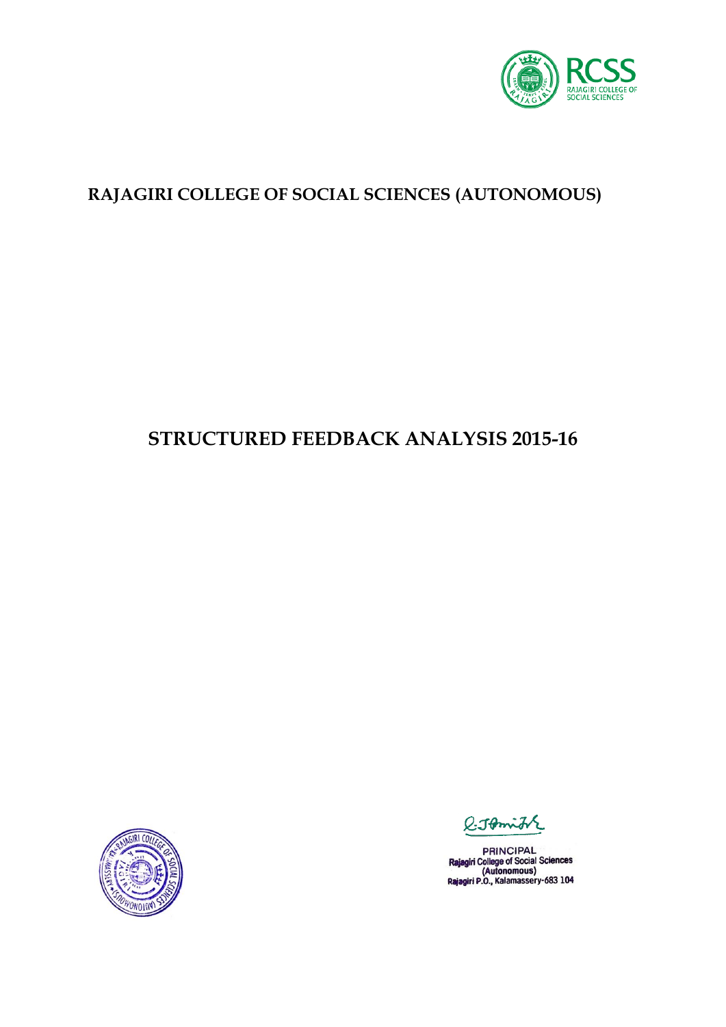

### **RAJAGIRI COLLEGE OF SOCIAL SCIENCES (AUTONOMOUS)**

# **STRUCTURED FEEDBACK ANALYSIS 2015-16**



O. Tomin

PRINCIPAL<br>Rajagiri College of Social Sciences<br>(Autonomous)<br>Rajagiri P.O., Kalamassery-683 104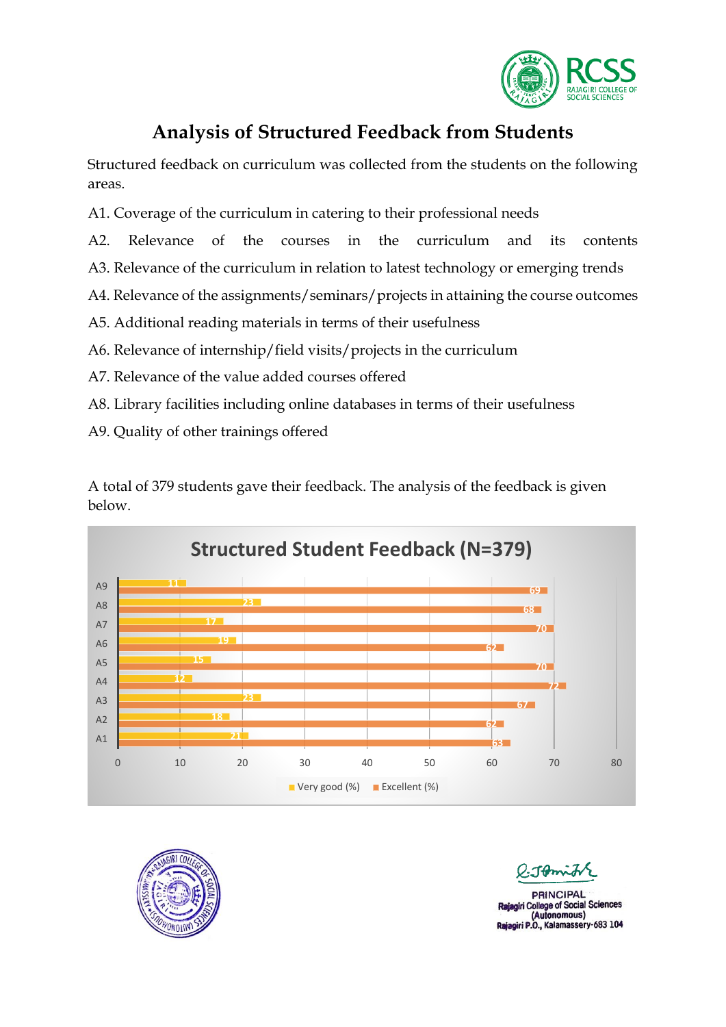

### **Analysis of Structured Feedback from Students**

Structured feedback on curriculum was collected from the students on the following areas.

- A1. Coverage of the curriculum in catering to their professional needs
- A2. Relevance of the courses in the curriculum and its contents
- A3. Relevance of the curriculum in relation to latest technology or emerging trends
- A4. Relevance of the assignments/seminars/projects in attaining the course outcomes
- A5. Additional reading materials in terms of their usefulness
- A6. Relevance of internship/field visits/projects in the curriculum
- A7. Relevance of the value added courses offered
- A8. Library facilities including online databases in terms of their usefulness
- A9. Quality of other trainings offered

A total of 379 students gave their feedback. The analysis of the feedback is given below.





**PRINCIPAL** niri College of Social Sciences (Autonomous) Rajagiri P.O., Kalamassery-683 104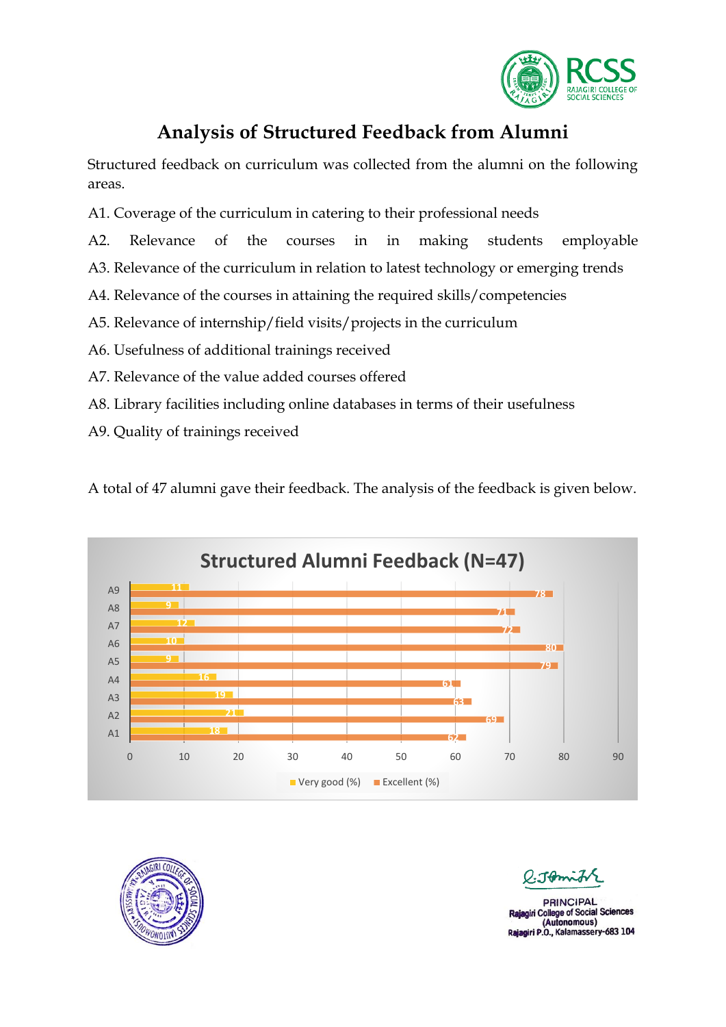

### **Analysis of Structured Feedback from Alumni**

Structured feedback on curriculum was collected from the alumni on the following areas.

- A1. Coverage of the curriculum in catering to their professional needs
- A2. Relevance of the courses in in making students employable
- A3. Relevance of the curriculum in relation to latest technology or emerging trends
- A4. Relevance of the courses in attaining the required skills/competencies
- A5. Relevance of internship/field visits/projects in the curriculum
- A6. Usefulness of additional trainings received
- A7. Relevance of the value added courses offered
- A8. Library facilities including online databases in terms of their usefulness
- A9. Quality of trainings received

A total of 47 alumni gave their feedback. The analysis of the feedback is given below.





Them

**PRINCIPAL** giri College of Social Sciences (Autonomous) Rajagiri P.O., Kalamassery-683 104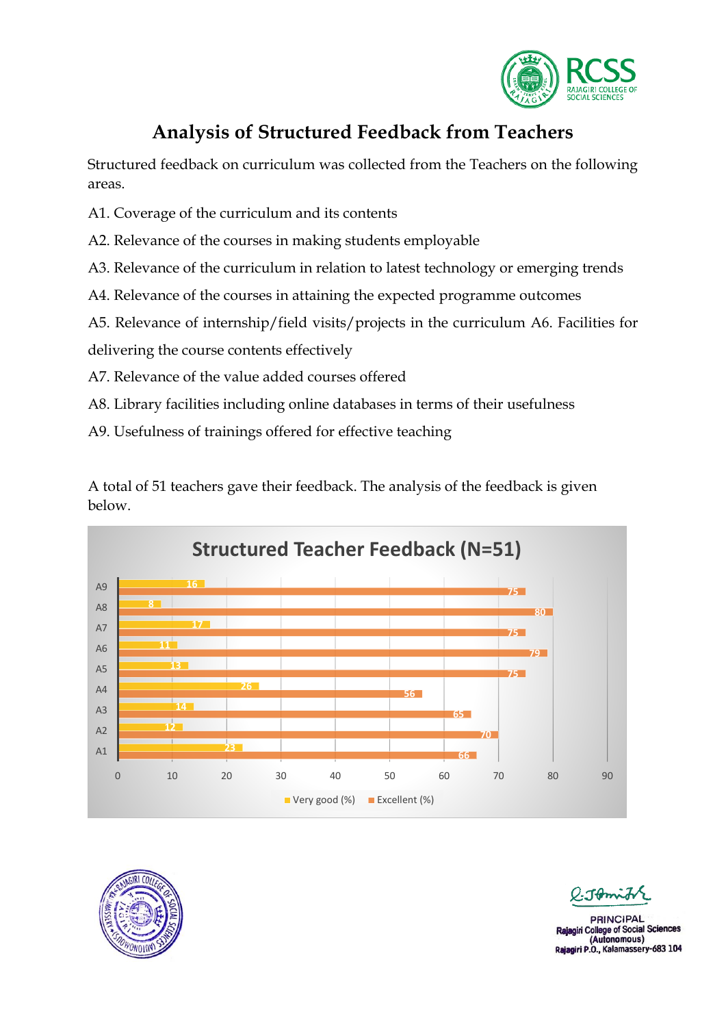

## **Analysis of Structured Feedback from Teachers**

Structured feedback on curriculum was collected from the Teachers on the following areas.

- A1. Coverage of the curriculum and its contents
- A2. Relevance of the courses in making students employable
- A3. Relevance of the curriculum in relation to latest technology or emerging trends
- A4. Relevance of the courses in attaining the expected programme outcomes
- A5. Relevance of internship/field visits/projects in the curriculum A6. Facilities for

delivering the course contents effectively

- A7. Relevance of the value added courses offered
- A8. Library facilities including online databases in terms of their usefulness
- A9. Usefulness of trainings offered for effective teaching

A total of 51 teachers gave their feedback. The analysis of the feedback is given below.





 $-1$ 

**DRINCIPAL** iri College of Social Sciences (Autonomous) Rajagiri P.O., Kalamassery-683 104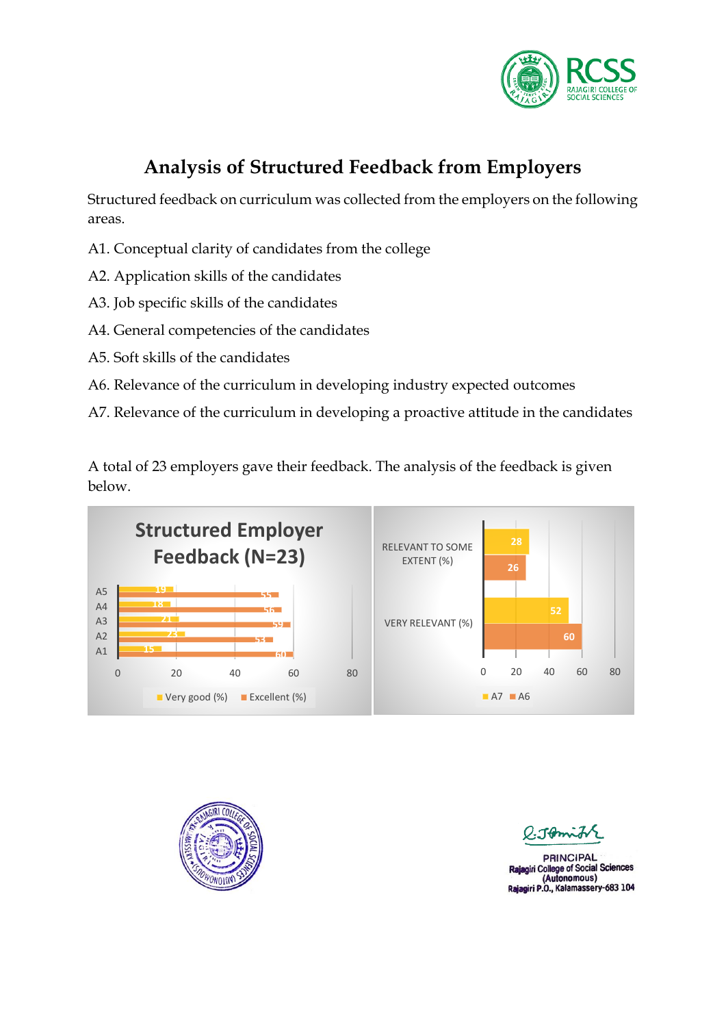

# **Analysis of Structured Feedback from Employers**

Structured feedback on curriculum was collected from the employers on the following areas.

- A1. Conceptual clarity of candidates from the college
- A2. Application skills of the candidates
- A3. Job specific skills of the candidates
- A4. General competencies of the candidates
- A5. Soft skills of the candidates
- A6. Relevance of the curriculum in developing industry expected outcomes
- A7. Relevance of the curriculum in developing a proactive attitude in the candidates

A total of 23 employers gave their feedback. The analysis of the feedback is given below.





Them

**PRINCIPAL** giri College of Social Sciences (Autonomous) Rajagiri P.O., Kalamassery-683 104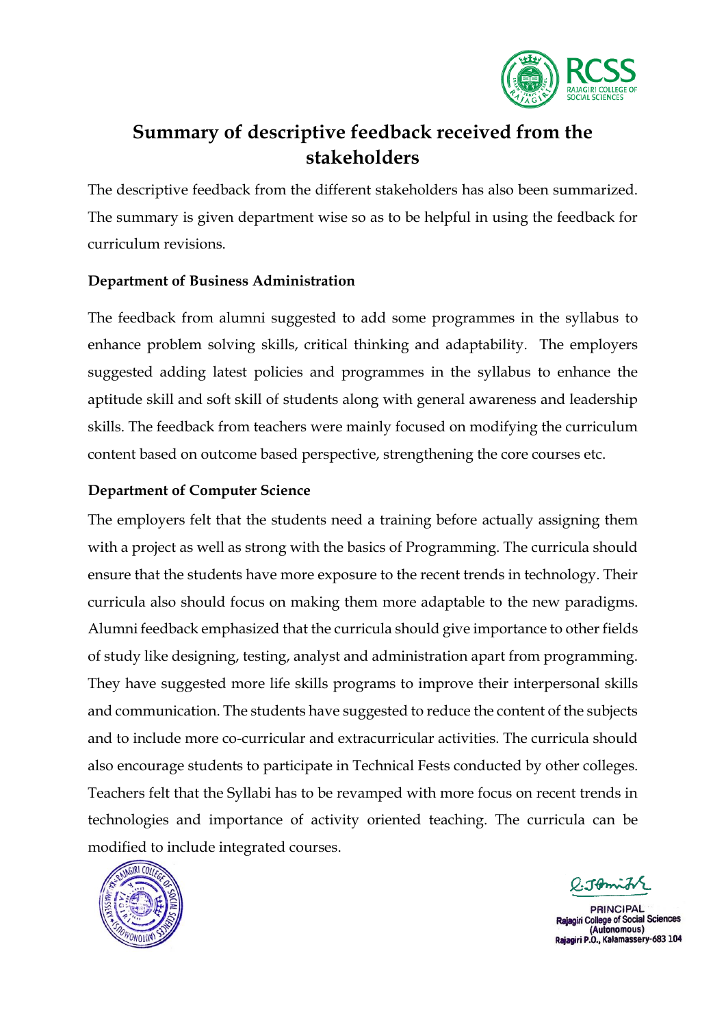

## **Summary of descriptive feedback received from the stakeholders**

The descriptive feedback from the different stakeholders has also been summarized. The summary is given department wise so as to be helpful in using the feedback for curriculum revisions.

#### **Department of Business Administration**

The feedback from alumni suggested to add some programmes in the syllabus to enhance problem solving skills, critical thinking and adaptability. The employers suggested adding latest policies and programmes in the syllabus to enhance the aptitude skill and soft skill of students along with general awareness and leadership skills. The feedback from teachers were mainly focused on modifying the curriculum content based on outcome based perspective, strengthening the core courses etc.

#### **Department of Computer Science**

The employers felt that the students need a training before actually assigning them with a project as well as strong with the basics of Programming. The curricula should ensure that the students have more exposure to the recent trends in technology. Their curricula also should focus on making them more adaptable to the new paradigms. Alumni feedback emphasized that the curricula should give importance to other fields of study like designing, testing, analyst and administration apart from programming. They have suggested more life skills programs to improve their interpersonal skills and communication. The students have suggested to reduce the content of the subjects and to include more co-curricular and extracurricular activities. The curricula should also encourage students to participate in Technical Fests conducted by other colleges. Teachers felt that the Syllabi has to be revamped with more focus on recent trends in technologies and importance of activity oriented teaching. The curricula can be modified to include integrated courses.



Tamits

**PRINCIPAL** giri College of Social Sciences (Autonomous) Rajagiri P.O., Kalamassery-683 104